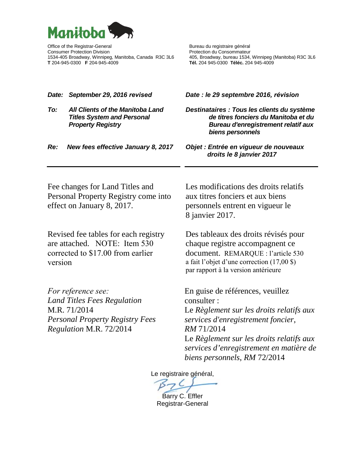

Office of the Registrar-General Bureau du registraire général Consumer Protection Division **Protection du Consommateur** Protection du Consommateur **T** 204-945-0300 **F** 204-945-4009 **Tél.** 204 945-0300 **Téléc.** 204 945-4009

1534, Winnipeg (Manitoba) R3C 3L6<br>1534, Winnipeg (Manitoba) R3C 3L6<br>161. 204 945-0300 Téléc. 204 945-4009

| Date:   | September 29, 2016 revised                                                                                                                           | Date : le 29 septembre 2016, révision                                                                                                                                                                                                                                 |
|---------|------------------------------------------------------------------------------------------------------------------------------------------------------|-----------------------------------------------------------------------------------------------------------------------------------------------------------------------------------------------------------------------------------------------------------------------|
| To:     | <b>All Clients of the Manitoba Land</b><br><b>Titles System and Personal</b><br><b>Property Registry</b>                                             | Destinataires : Tous les clients du système<br>de titres fonciers du Manitoba et du<br><b>Bureau d'enregistrement relatif aux</b><br>biens personnels                                                                                                                 |
| Re:     | New fees effective January 8, 2017                                                                                                                   | Objet : Entrée en vigueur de nouveaux<br>droits le 8 janvier 2017                                                                                                                                                                                                     |
|         | Fee changes for Land Titles and<br>Personal Property Registry come into<br>effect on January 8, 2017.                                                | Les modifications des droits relatifs<br>aux titres fonciers et aux biens<br>personnels entrent en vigueur le<br>8 janvier 2017.                                                                                                                                      |
| version | Revised fee tables for each registry<br>are attached. NOTE: Item 530<br>corrected to \$17.00 from earlier                                            | Des tableaux des droits révisés pour<br>chaque registre accompagnent ce<br>document. REMARQUE : l'article 530<br>a fait l'objet d'une correction (17,00 \$)<br>par rapport à la version antérieure                                                                    |
|         | <i>For reference see:</i><br><b>Land Titles Fees Regulation</b><br>M.R. 71/2014<br><b>Personal Property Registry Fees</b><br>Regulation M.R. 72/2014 | En guise de références, veuillez<br>consulter:<br>Le Règlement sur les droits relatifs aux<br>services d'enregistrement foncier,<br>RM 71/2014<br>Le Règlement sur les droits relatifs aux<br>services d'enregistrement en matière de<br>biens personnels, RM 72/2014 |
|         |                                                                                                                                                      | Le registraire général,                                                                                                                                                                                                                                               |

Barry C. Effler Registrar-General

7 <u>C</u>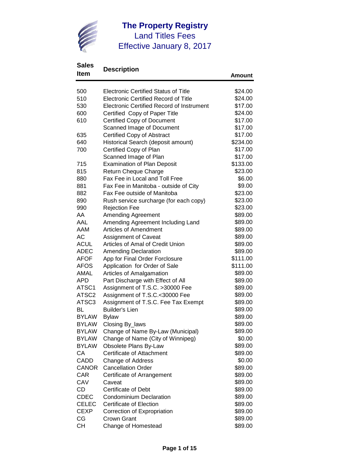

## **Sales**

| sales             | <b>Description</b>                               |          |
|-------------------|--------------------------------------------------|----------|
| Item              |                                                  | Amount   |
| 500               | <b>Electronic Certified Status of Title</b>      | \$24.00  |
| 510               | <b>Electronic Certified Record of Title</b>      | \$24.00  |
| 530               | <b>Electronic Certified Record of Instrument</b> | \$17.00  |
| 600               | Certified Copy of Paper Title                    | \$24.00  |
| 610               | <b>Certified Copy of Document</b>                | \$17.00  |
|                   | Scanned Image of Document                        | \$17.00  |
| 635               | Certified Copy of Abstract                       | \$17.00  |
| 640               | Historical Search (deposit amount)               | \$234.00 |
| 700               | Certified Copy of Plan                           | \$17.00  |
|                   | Scanned Image of Plan                            | \$17.00  |
| 715               | <b>Examination of Plan Deposit</b>               | \$133.00 |
| 815               | Return Cheque Charge                             | \$23.00  |
| 880               | Fax Fee in Local and Toll Free                   | \$6.00   |
| 881               | Fax Fee in Manitoba - outside of City            | \$9.00   |
| 882               | Fax Fee outside of Manitoba                      | \$23.00  |
| 890               | Rush service surcharge (for each copy)           | \$23.00  |
| 990               | <b>Rejection Fee</b>                             | \$23.00  |
| AA                | <b>Amending Agreement</b>                        | \$89.00  |
| AAL               | Amending Agreement Including Land                | \$89.00  |
| AAM               | <b>Articles of Amendment</b>                     | \$89.00  |
| <b>AC</b>         | <b>Assignment of Caveat</b>                      | \$89.00  |
| <b>ACUL</b>       | Articles of Amal of Credit Union                 | \$89.00  |
| ADEC              | <b>Amending Declaration</b>                      | \$89.00  |
| <b>AFOF</b>       | App for Final Order Forclosure                   | \$111.00 |
| <b>AFOS</b>       | Application for Order of Sale                    | \$111.00 |
| AMAL              | Articles of Amalgamation                         | \$89.00  |
| <b>APD</b>        | Part Discharge with Effect of All                | \$89.00  |
| ATSC1             | Assignment of T.S.C. >30000 Fee                  | \$89.00  |
| ATSC <sub>2</sub> | Assignment of T.S.C.<30000 Fee                   | \$89.00  |
| ATSC3             | Assignment of T.S.C. Fee Tax Exempt              | \$89.00  |
| BL                | <b>Builder's Lien</b>                            | \$89.00  |
| <b>BYLAW</b>      | <b>Bylaw</b>                                     | \$89.00  |
| <b>BYLAW</b>      | Closing By_laws                                  | \$89.00  |
| <b>BYLAW</b>      | Change of Name By-Law (Municipal)                | \$89.00  |
| <b>BYLAW</b>      | Change of Name (City of Winnipeg)                | \$0.00   |
| <b>BYLAW</b>      | Obsolete Plans By-Law                            | \$89.00  |
| СA                | Certificate of Attachment                        | \$89.00  |
| <b>CADD</b>       | Change of Address                                | \$0.00   |
| <b>CANOR</b>      | <b>Cancellation Order</b>                        | \$89.00  |
| <b>CAR</b>        | Certificate of Arrangement                       | \$89.00  |
| CAV               | Caveat                                           | \$89.00  |
| CD                | <b>Certificate of Debt</b>                       | \$89.00  |
| <b>CDEC</b>       | <b>Condominium Declaration</b>                   | \$89.00  |
| <b>CELEC</b>      | Certificate of Election                          | \$89.00  |
| <b>CEXP</b>       | Correction of Expropriation                      | \$89.00  |
| CG                | Crown Grant                                      | \$89.00  |
| <b>CH</b>         | Change of Homestead                              | \$89.00  |
|                   |                                                  |          |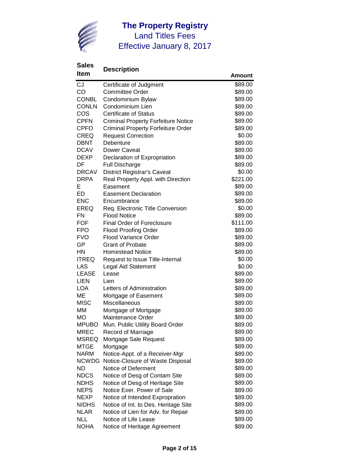

| <u>irail</u>               |                                                                  | Amount             |
|----------------------------|------------------------------------------------------------------|--------------------|
| <b>CJ</b>                  | Certificate of Judgment                                          | \$89.00            |
| CO                         | <b>Committee Order</b>                                           | \$89.00            |
| <b>CONBL</b>               | Condominium Bylaw                                                | \$89.00            |
| <b>CONLN</b>               | Condominium Lien                                                 | \$89.00            |
| COS                        | <b>Certificate of Status</b>                                     | \$89.00            |
| <b>CPFN</b>                | <b>Criminal Property Forfeiture Notice</b>                       | \$89.00            |
| <b>CPFO</b>                | <b>Criminal Property Forfeiture Order</b>                        | \$89.00            |
| <b>CREQ</b>                | <b>Request Correction</b>                                        | \$0.00             |
| DBNT                       | Debenture                                                        | \$89.00            |
| <b>DCAV</b>                | Dower Caveat                                                     | \$89.00            |
| <b>DEXP</b>                | Declaration of Expropriation                                     | \$89.00            |
| DF                         | <b>Full Discharge</b>                                            | \$89.00            |
| <b>DRCAV</b>               | <b>District Registrar's Caveat</b>                               | \$0.00             |
| <b>DRPA</b>                | Real Property Appl. with Direction                               | \$221.00           |
| Е                          | Easement                                                         | \$89.00            |
| ED                         | <b>Easement Declaration</b>                                      | \$89.00            |
| <b>ENC</b>                 | Encumbrance                                                      | \$89.00            |
| <b>EREQ</b>                | Req. Electronic Title Conversion                                 | \$0.00             |
| <b>FN</b>                  | <b>Flood Notice</b>                                              | \$89.00            |
| <b>FOF</b>                 | <b>Final Order of Foreclosure</b>                                | \$111.00           |
| <b>FPO</b>                 | <b>Flood Proofing Order</b>                                      | \$89.00            |
| <b>FVO</b>                 | <b>Flood Variance Order</b>                                      | \$89.00            |
| GP                         | <b>Grant of Probate</b>                                          | \$89.00            |
| HN                         | <b>Homestead Notice</b>                                          | \$89.00            |
| <b>ITREQ</b>               | Request to Issue Title-Internal                                  | \$0.00             |
| LAS                        | <b>Legal Aid Statement</b>                                       | \$0.00             |
| <b>LEASE</b>               | Lease                                                            | \$89.00            |
| <b>LIEN</b>                | Lien                                                             | \$89.00            |
| <b>LOA</b>                 | Letters of Administration                                        | \$89.00            |
| MЕ                         | Mortgage of Easement                                             | \$89.00            |
| <b>MISC</b>                | Miscellaneous                                                    | \$89.00            |
| MM                         | Mortgage of Mortgage                                             | \$89.00            |
| МO                         | <b>Maintenance Order</b>                                         | \$89.00            |
| <b>MPUBO</b>               | Mun. Public Utility Board Order                                  | \$89.00            |
| <b>MREC</b>                | <b>Record of Marriage</b>                                        | \$89.00            |
| <b>MSREQ</b>               | Mortgage Sale Request                                            | \$89.00            |
| <b>MTGE</b><br><b>NARM</b> | Mortgage                                                         | \$89.00            |
| <b>NCWDG</b>               | Notice-Appt. of a Receiver-Mgr                                   | \$89.00<br>\$89.00 |
| ND                         | Notice-Closure of Waste Disposal<br>Notice of Deferment          | \$89.00            |
| <b>NDCS</b>                |                                                                  | \$89.00            |
| <b>NDHS</b>                | Notice of Desg of Contam Site<br>Notice of Desg of Heritage Site | \$89.00            |
| <b>NEPS</b>                | Notice Exer. Power of Sale                                       | \$89.00            |
| NEXP                       | Notice of Intended Expropration                                  | \$89.00            |
| <b>NIDHS</b>               | Notice of Int. to Des. Heritage Site                             | \$89.00            |
| <b>NLAR</b>                | Notice of Lien for Adv. for Repair                               | \$89.00            |
| <b>NLL</b>                 | Notice of Life Lease                                             | \$89.00            |
| <b>NOHA</b>                | Notice of Heritage Agreement                                     | \$89.00            |
|                            |                                                                  |                    |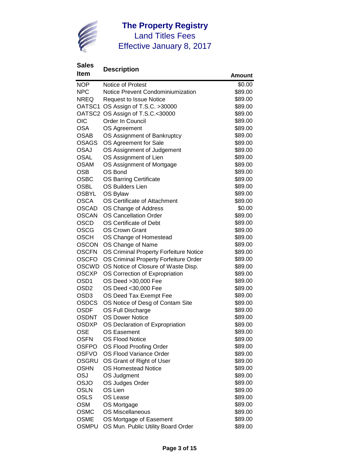

| <b>Item</b>      | Desuipuun                              | Amount  |
|------------------|----------------------------------------|---------|
| <b>NOP</b>       | Notice of Protest                      | \$0.00  |
| <b>NPC</b>       | Notice Prevent Condominiumization      | \$89.00 |
| <b>NREQ</b>      | <b>Request to Issue Notice</b>         | \$89.00 |
|                  | OATSC1 OS Assign of T.S.C. >30000      | \$89.00 |
|                  | OATSC2 OS Assign of T.S.C.<30000       | \$89.00 |
| <b>OIC</b>       | Order In Council                       | \$89.00 |
| <b>OSA</b>       | OS Agreement                           | \$89.00 |
| <b>OSAB</b>      | OS Assignment of Bankruptcy            | \$89.00 |
| <b>OSAGS</b>     | OS Agreement for Sale                  | \$89.00 |
| <b>OSAJ</b>      | OS Assignment of Judgement             | \$89.00 |
| <b>OSAL</b>      | OS Assignment of Lien                  | \$89.00 |
| <b>OSAM</b>      | OS Assignment of Mortgage              | \$89.00 |
| <b>OSB</b>       | OS Bond                                | \$89.00 |
| <b>OSBC</b>      | <b>OS Barring Certificate</b>          | \$89.00 |
| <b>OSBL</b>      | <b>OS Builders Lien</b>                | \$89.00 |
| <b>OSBYL</b>     | OS Bylaw                               | \$89.00 |
| <b>OSCA</b>      | OS Certificate of Attachment           | \$89.00 |
| <b>OSCAD</b>     | OS Change of Address                   | \$0.00  |
| <b>OSCAN</b>     | <b>OS Cancellation Order</b>           | \$89.00 |
| <b>OSCD</b>      | OS Certificate of Debt                 | \$89.00 |
| <b>OSCG</b>      | <b>OS Crown Grant</b>                  | \$89.00 |
| <b>OSCH</b>      | OS Change of Homestead                 | \$89.00 |
| <b>OSCON</b>     | OS Change of Name                      | \$89.00 |
| <b>OSCFN</b>     | OS Criminal Property Forfeiture Notice | \$89.00 |
| <b>OSCFO</b>     | OS Criminal Property Forfeiture Order  | \$89.00 |
| OSCWD            | OS Notice of Closure of Waste Disp.    | \$89.00 |
| <b>OSCXP</b>     | OS Correction of Expropriation         | \$89.00 |
| OSD <sub>1</sub> | OS Deed >30,000 Fee                    | \$89.00 |
| OSD <sub>2</sub> | OS Deed <30,000 Fee                    | \$89.00 |
| OSD <sub>3</sub> | OS Deed Tax Exempt Fee                 | \$89.00 |
| <b>OSDCS</b>     | OS Notice of Desg of Contam Site       | \$89.00 |
| <b>OSDF</b>      | OS Full Discharge                      | \$89.00 |
| <b>OSDNT</b>     | <b>OS Dower Notice</b>                 | \$89.00 |
| <b>OSDXP</b>     | OS Declaration of Expropriation        | \$89.00 |
| <b>OSE</b>       | OS Easement                            | \$89.00 |
| <b>OSFN</b>      | OS Flood Notice                        | \$89.00 |
| <b>OSFPO</b>     | OS Flood Proofing Order                | \$89.00 |
| <b>OSFVO</b>     | OS Flood Variance Order                | \$89.00 |
| OSGRU            | OS Grant of Right of User              | \$89.00 |
| <b>OSHN</b>      | <b>OS Homestead Notice</b>             | \$89.00 |
| <b>OSJ</b>       | OS Judgment                            | \$89.00 |
| OSJO             | OS Judges Order                        | \$89.00 |
| <b>OSLN</b>      | OS Lien                                | \$89.00 |
| <b>OSLS</b>      | OS Lease                               | \$89.00 |
| <b>OSM</b>       | OS Mortgage                            | \$89.00 |
| <b>OSMC</b>      | <b>OS Miscellaneous</b>                | \$89.00 |
| <b>OSME</b>      | OS Mortgage of Easement                | \$89.00 |
| <b>OSMPU</b>     | OS Mun. Public Utility Board Order     | \$89.00 |
|                  |                                        |         |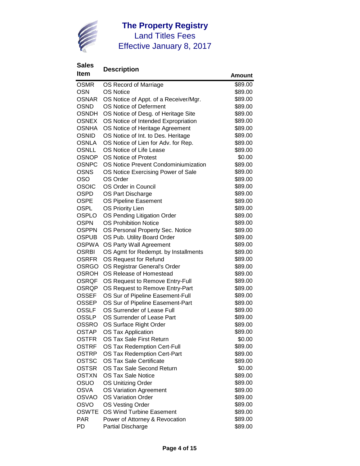

| ווסוו        |                                       | Amount  |
|--------------|---------------------------------------|---------|
| <b>OSMR</b>  | OS Record of Marriage                 | \$89.00 |
| <b>OSN</b>   | <b>OS Notice</b>                      | \$89.00 |
| <b>OSNAR</b> | OS Notice of Appt. of a Receiver/Mgr. | \$89.00 |
| <b>OSND</b>  | OS Notice of Deferment                | \$89.00 |
| <b>OSNDH</b> | OS Notice of Desg. of Heritage Site   | \$89.00 |
| <b>OSNEX</b> | OS Notice of Intended Expropriation   | \$89.00 |
| <b>OSNHA</b> | OS Notice of Heritage Agreement       | \$89.00 |
| <b>OSNID</b> | OS Notice of Int. to Des. Heritage    | \$89.00 |
| <b>OSNLA</b> | OS Notice of Lien for Adv. for Rep.   | \$89.00 |
| <b>OSNLL</b> | OS Notice of Life Lease               | \$89.00 |
| <b>OSNOP</b> | <b>OS Notice of Protest</b>           | \$0.00  |
| <b>OSNPC</b> | OS Notice Prevent Condominiumization  | \$89.00 |
| <b>OSNS</b>  | OS Notice Exercising Power of Sale    | \$89.00 |
| <b>OSO</b>   | OS Order                              | \$89.00 |
| <b>OSOIC</b> | OS Order in Council                   | \$89.00 |
| <b>OSPD</b>  | OS Part Discharge                     | \$89.00 |
| <b>OSPE</b>  | OS Pipeline Easement                  | \$89.00 |
| <b>OSPL</b>  | <b>OS Priority Lien</b>               | \$89.00 |
| OSPLO        | OS Pending Litigation Order           | \$89.00 |
| <b>OSPN</b>  | <b>OS Prohibition Notice</b>          | \$89.00 |
| <b>OSPPN</b> | OS Personal Property Sec. Notice      | \$89.00 |
| <b>OSPUB</b> | OS Pub. Utility Board Order           | \$89.00 |
| <b>OSPWA</b> | OS Party Wall Agreement               | \$89.00 |
| <b>OSRBI</b> | OS Agmt for Redempt. by Installments  | \$89.00 |
| <b>OSRFR</b> | OS Request for Refund                 | \$89.00 |
| <b>OSRGO</b> | OS Registrar General's Order          | \$89.00 |
| <b>OSROH</b> | OS Release of Homestead               | \$89.00 |
| <b>OSRQF</b> | OS Request to Remove Entry-Full       | \$89.00 |
| OSRQP        | OS Request to Remove Entry-Part       | \$89.00 |
| <b>OSSEF</b> | OS Sur of Pipeline Easement-Full      | \$89.00 |
| <b>OSSEP</b> | OS Sur of Pipeline Easement-Part      | \$89.00 |
| <b>OSSLF</b> | OS Surrender of Lease Full            | \$89.00 |
| <b>OSSLP</b> | OS Surrender of Lease Part            | \$89.00 |
| <b>OSSRO</b> | OS Surface Right Order                | \$89.00 |
| <b>OSTAP</b> | <b>OS Tax Application</b>             | \$89.00 |
| <b>OSTFR</b> | OS Tax Sale First Return              | \$0.00  |
| <b>OSTRF</b> | OS Tax Redemption Cert-Full           | \$89.00 |
| <b>OSTRP</b> | OS Tax Redemption Cert-Part           | \$89.00 |
| <b>OSTSC</b> | <b>OS Tax Sale Certificate</b>        | \$89.00 |
| <b>OSTSR</b> | OS Tax Sale Second Return             | \$0.00  |
| <b>OSTXN</b> | <b>OS Tax Sale Notice</b>             | \$89.00 |
| OSUO         | <b>OS Unitizing Order</b>             | \$89.00 |
| <b>OSVA</b>  | <b>OS Variation Agreement</b>         | \$89.00 |
| <b>OSVAO</b> | <b>OS Variation Order</b>             | \$89.00 |
| <b>OSVO</b>  | OS Vesting Order                      | \$89.00 |
| <b>OSWTE</b> | OS Wind Turbine Easement              | \$89.00 |
| <b>PAR</b>   | Power of Attorney & Revocation        | \$89.00 |
| PD           | <b>Partial Discharge</b>              | \$89.00 |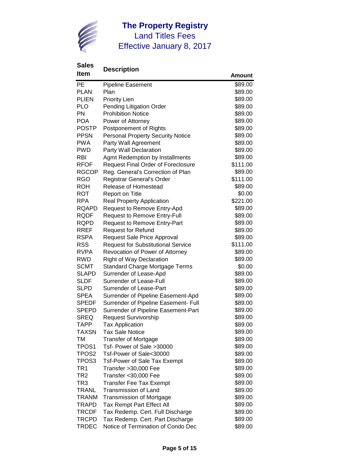

| <b>Item</b>       | Desui puuli                               | Amount   |
|-------------------|-------------------------------------------|----------|
| PE                | Pipeline Easement                         | \$89.00  |
| <b>PLAN</b>       | Plan                                      | \$89.00  |
| <b>PLIEN</b>      | <b>Priority Lien</b>                      | \$89.00  |
| <b>PLO</b>        | Pending Litigation Order                  | \$89.00  |
| PN                | <b>Prohibition Notice</b>                 | \$89.00  |
| <b>POA</b>        | Power of Attorney                         | \$89.00  |
| <b>POSTP</b>      | Postponement of Rights                    | \$89.00  |
| <b>PPSN</b>       | <b>Personal Property Security Notice</b>  | \$89.00  |
| <b>PWA</b>        | Party Wall Agreement                      | \$89.00  |
| <b>PWD</b>        | Party Wall Declaration                    | \$89.00  |
| <b>RBI</b>        | Agmt Redemption by Installments           | \$89.00  |
| <b>RFOF</b>       | <b>Request Final Order of Foreclosure</b> | \$111.00 |
| <b>RGCOP</b>      | Reg. General's Correction of Plan         | \$89.00  |
| <b>RGO</b>        | Registrar General's Order                 | \$111.00 |
| <b>ROH</b>        | Release of Homestead                      | \$89.00  |
| <b>ROT</b>        | Report on Title                           | \$0.00   |
| <b>RPA</b>        | <b>Real Property Application</b>          | \$221.00 |
| <b>RQAPD</b>      | Request to Remove Entry-Apd               | \$89.00  |
| <b>RQDF</b>       | <b>Request to Remove Entry-Full</b>       | \$89.00  |
| <b>RQPD</b>       | <b>Request to Remove Entry-Part</b>       | \$89.00  |
| <b>RREF</b>       | <b>Request for Refund</b>                 | \$89.00  |
| <b>RSPA</b>       | <b>Request Sale Price Approval</b>        | \$89.00  |
| <b>RSS</b>        | <b>Request for Substitutional Service</b> | \$111.00 |
| <b>RVPA</b>       | Revocation of Power of Attorney           | \$89.00  |
| <b>RWD</b>        | <b>Right of Way Declaration</b>           | \$89.00  |
| <b>SCMT</b>       | <b>Standard Charge Mortgage Terms</b>     | \$0.00   |
| <b>SLAPD</b>      | Surrender of Lease-Apd                    | \$89.00  |
| <b>SLDF</b>       | Surrender of Lease-Full                   | \$89.00  |
| <b>SLPD</b>       | Surrender of Lease-Part                   | \$89.00  |
| <b>SPEA</b>       | Surrender of Pipeline Easement-Apd        | \$89.00  |
| <b>SPEDF</b>      | Surrender of Pipeline Easement- Full      | \$89.00  |
| <b>SPEPD</b>      | Surrender of Pipeline Easement-Part       | \$89.00  |
| <b>SREQ</b>       | <b>Request Survivorship</b>               | \$89.00  |
| <b>TAPP</b>       | <b>Tax Application</b>                    | \$89.00  |
| <b>TAXSN</b>      | <b>Tax Sale Notice</b>                    | \$89.00  |
| TM                | <b>Transfer of Mortgage</b>               | \$89.00  |
| TPOS <sub>1</sub> | Tsf- Power of Sale >30000                 | \$89.00  |
| TPOS <sub>2</sub> | Tsf-Power of Sale<30000                   | \$89.00  |
| TPOS <sub>3</sub> | <b>Tsf-Power of Sale Tax Exempt</b>       | \$89.00  |
| TR1               | Transfer > 30,000 Fee                     | \$89.00  |
| TR <sub>2</sub>   | Transfer < 30,000 Fee                     | \$89.00  |
| TR3               | <b>Transfer Fee Tax Exempt</b>            | \$89.00  |
| TRANL             | <b>Transmission of Land</b>               | \$89.00  |
| <b>TRANM</b>      | <b>Transmission of Mortgage</b>           | \$89.00  |
| TRAPD             | Tax Rempt Part Effect All                 | \$89.00  |
| <b>TRCDF</b>      | Tax Redemp. Cert. Full Discharge          | \$89.00  |
| <b>TRCPD</b>      | Tax Redemp. Cert. Part Discharge          | \$89.00  |
| <b>TRDEC</b>      | Notice of Termination of Condo Dec        | \$89.00  |
|                   |                                           |          |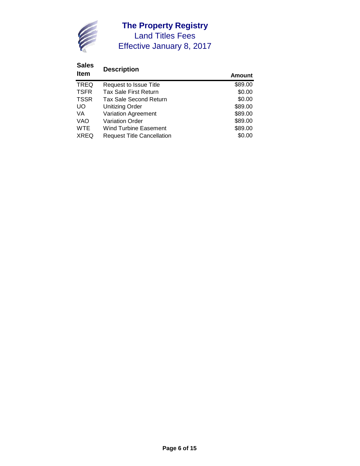

#### **Sales Description Amount** TREQ Request to Issue Title **1998 1891 1899 1891 1899 1891 1899 1891 1891 1891 1891 1891 1891 1891 1891 1891 18**<br>TSFR Tax Sale First Return \$0.00 TSFR Tax Sale First Return \$0.00<br>
TSSR Tax Sale Second Return \$0.00 TSSR Tax Sale Second Return \$0.00<br>
UO Unitizing Order \$89.00 UO Unitizing Order<br>
VA Variation Agreement<br>
\$89.00 VA Variation Agreement \$89.00<br>VAO Variation Order \$89.00 VAO Variation Order<br>
WTE Wind Turbine Easement<br>
WTE Wind Turbine Easement Wind Turbine Easement XREQ Request Title Cancellation  $$0.00$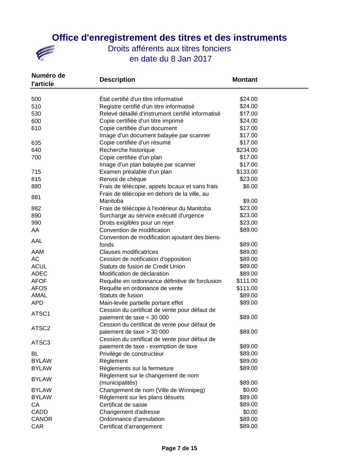## **Office d'enregistrement des titres et des instruments**



| Numéro de<br><b>l'article</b> | <b>Description</b>                                | <b>Montant</b>     |
|-------------------------------|---------------------------------------------------|--------------------|
| 500                           | État certifié d'un titre informatisé              | \$24.00            |
| 510                           | Registre certifié d'un titre informatisé          | \$24.00            |
| 530                           | Relevé détaillé d'instrument certifié informatisé | \$17.00            |
| 600                           | Copie certifiée d'un titre imprimé                | \$24.00            |
| 610                           | Copie certifiée d'un document                     | \$17.00            |
|                               | Image d'un document balayée par scanner           | \$17.00            |
| 635                           | Copie certifiée d'un résumé                       | \$17.00            |
| 640                           | Recherche historique                              | \$234.00           |
| 700                           | Copie certifiée d'un plan                         | \$17.00            |
|                               | Image d'un plan balayée par scanner               | \$17.00            |
| 715                           | Examen préalable d'un plan                        | \$133.00           |
| 815                           | Renvoi de chèque                                  | \$23.00            |
| 880                           | Frais de télécopie, appels locaux et sans frais   | \$6.00             |
|                               | Frais de télécopie en dehors de la ville, au      |                    |
| 881                           | Manitoba                                          | \$9.00             |
| 882                           | Frais de télécopie à l'extérieur du Manitoba      | \$23.00            |
| 890                           | Surcharge au service exécuté d'urgence            | \$23.00            |
| 990                           | Droits exigibles pour un rejet                    | \$23.00            |
| AA                            | Convention de modification                        | \$89.00            |
|                               | Convention de modification ajoutant des biens-    |                    |
| AAL                           | fonds                                             | \$89.00            |
| AAM                           | <b>Clauses modificatrices</b>                     | \$89.00            |
| AC                            | Cession de notification d'opposition              | \$89.00            |
| <b>ACUL</b>                   | Statuts de fusion de Credit Union                 | \$89.00            |
| <b>ADEC</b>                   | Modification de déclaration                       | \$89.00            |
| <b>AFOF</b>                   | Requête en ordonnance définitive de forclusion    | \$111.00           |
| <b>AFOS</b>                   | Requête en ordonance de vente                     | \$111.00           |
| AMAL                          | Statuts de fusion                                 | \$89.00            |
| <b>APD</b>                    | Main-levée partielle portant effet                | \$89.00            |
| ATSC1                         | Cession du certificat de vente pour défaut de     |                    |
|                               | paiement de taxe < 30 000                         | \$89.00            |
| ATSC <sub>2</sub>             | Cession du certificat de vente pour défaut de     |                    |
|                               | paiement de taxe > 30 000                         | \$89.00            |
| ATSC3                         | Cession du certificat de vente pour défaut de     |                    |
|                               | paiement de taxe - exemption de taxe              | \$89.00            |
| BL                            | Privilège de constructeur                         | \$89.00            |
| <b>BYLAW</b>                  | Règlement                                         | \$89.00            |
| <b>BYLAW</b>                  | Règlements sur la fermeture                       | \$89.00            |
| <b>BYLAW</b>                  | Règlement sur le changement de nom                |                    |
|                               | (municipalités)                                   | \$89.00            |
| <b>BYLAW</b>                  | Changement de nom (Ville de Winnipeg)             | \$0.00             |
| <b>BYLAW</b>                  | Règlement sur les plans désuets                   | \$89.00<br>\$89.00 |
| CA                            | Certificat de saisie                              | \$0.00             |
| CADD<br><b>CANOR</b>          | Changement d'adresse<br>Ordonnance d'annulation   | \$89.00            |
| CAR                           | Certificat d'arrangement                          | \$89.00            |
|                               |                                                   |                    |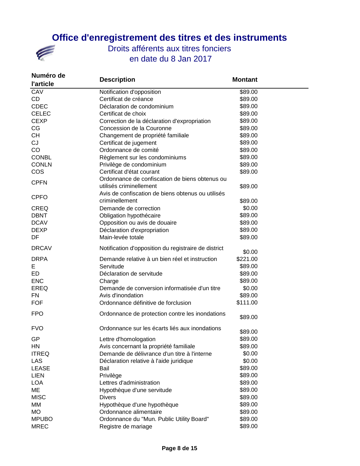

| Numéro de<br><b>l'article</b> | <b>Description</b>                                   | <b>Montant</b> |
|-------------------------------|------------------------------------------------------|----------------|
| CAV                           | Notification d'opposition                            | \$89.00        |
| CD                            | Certificat de créance                                | \$89.00        |
| <b>CDEC</b>                   | Déclaration de condominium                           | \$89.00        |
| <b>CELEC</b>                  | Certificat de choix                                  | \$89.00        |
| <b>CEXP</b>                   | Correction de la déclaration d'expropriation         | \$89.00        |
| CG                            | Concession de la Couronne                            | \$89.00        |
| <b>CH</b>                     | Changement de propriété familiale                    | \$89.00        |
| CJ                            | Certificat de jugement                               | \$89.00        |
| CO                            | Ordonnance de comité                                 | \$89.00        |
| <b>CONBL</b>                  | Règlement sur les condominiums                       | \$89.00        |
| <b>CONLN</b>                  | Privilège de condominium                             | \$89.00        |
| <b>COS</b>                    | Certificat d'état courant                            | \$89.00        |
|                               | Ordonnance de confiscation de biens obtenus ou       |                |
| <b>CPFN</b>                   | utilisés criminellement                              | \$89.00        |
|                               | Avis de confiscation de biens obtenus ou utilisés    |                |
| <b>CPFO</b>                   | criminellement                                       | \$89.00        |
| <b>CREQ</b>                   | Demande de correction                                | \$0.00         |
| <b>DBNT</b>                   | Obligation hypothécaire                              | \$89.00        |
| <b>DCAV</b>                   | Opposition ou avis de douaire                        | \$89.00        |
| <b>DEXP</b>                   | Déclaration d'expropriation                          | \$89.00        |
| DF                            | Main-levée totale                                    | \$89.00        |
| <b>DRCAV</b>                  | Notification d'opposition du registraire de district |                |
|                               |                                                      | \$0.00         |
| <b>DRPA</b>                   | Demande relative à un bien réel et instruction       | \$221.00       |
| Е                             | Servitude                                            | \$89.00        |
| ED                            | Déclaration de servitude                             | \$89.00        |
| <b>ENC</b>                    | Charge                                               | \$89.00        |
| <b>EREQ</b>                   | Demande de conversion informatisée d'un titre        | \$0.00         |
| <b>FN</b>                     | Avis d'inondation                                    | \$89.00        |
| <b>FOF</b>                    | Ordonnance définitive de forclusion                  | \$111.00       |
| <b>FPO</b>                    | Ordonnance de protection contre les inondations      | \$89.00        |
| <b>FVO</b>                    | Ordonnance sur les écarts liés aux inondations       | \$89.00        |
| GP                            | Lettre d'homologation                                | \$89.00        |
| HN                            | Avis concernant la propriété familiale               | \$89.00        |
| <b>ITREQ</b>                  | Demande de délivrance d'un titre à l'interne         | \$0.00         |
| <b>LAS</b>                    | Déclaration relative à l'aide juridique              | \$0.00         |
| <b>LEASE</b>                  | Bail                                                 | \$89.00        |
| <b>LIEN</b>                   | Privilège                                            | \$89.00        |
| <b>LOA</b>                    | Lettres d'administration                             | \$89.00        |
| ME                            | Hypothèque d'une servitude                           | \$89.00        |
| <b>MISC</b>                   | <b>Divers</b>                                        | \$89.00        |
| МM                            | Hypothèque d'une hypothèque                          | \$89.00        |
| МO                            | Ordonnance alimentaire                               | \$89.00        |
| <b>MPUBO</b>                  | Ordonnance du "Mun. Public Utility Board"            | \$89.00        |
| <b>MREC</b>                   | Registre de mariage                                  | \$89.00        |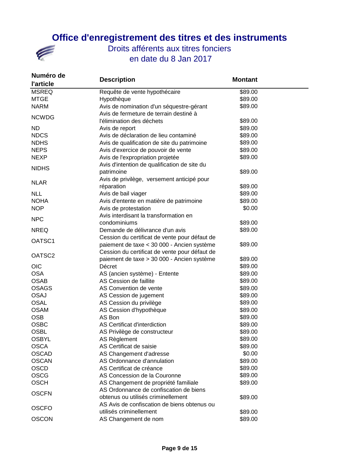

| Numéro de<br><b>l'article</b> | <b>Description</b>                            | <b>Montant</b> |
|-------------------------------|-----------------------------------------------|----------------|
| <b>MSREQ</b>                  | Requête de vente hypothécaire                 | \$89.00        |
| <b>MTGE</b>                   | Hypothèque                                    | \$89.00        |
| <b>NARM</b>                   | Avis de nomination d'un séquestre-gérant      | \$89.00        |
|                               | Avis de fermeture de terrain destiné à        |                |
| <b>NCWDG</b>                  | l'élimination des déchets                     | \$89.00        |
| <b>ND</b>                     | Avis de report                                | \$89.00        |
| <b>NDCS</b>                   | Avis de déclaration de lieu contaminé         | \$89.00        |
| <b>NDHS</b>                   | Avis de qualification de site du patrimoine   | \$89.00        |
| <b>NEPS</b>                   | Avis d'exercice de pouvoir de vente           | \$89.00        |
| <b>NEXP</b>                   | Avis de l'expropriation projetée              | \$89.00        |
|                               | Avis d'intention de qualification de site du  |                |
| <b>NIDHS</b>                  | patrimoine                                    | \$89.00        |
|                               | Avis de privilège, versement anticipé pour    |                |
| <b>NLAR</b>                   | réparation                                    | \$89.00        |
| <b>NLL</b>                    | Avis de bail viager                           | \$89.00        |
| <b>NOHA</b>                   | Avis d'entente en matière de patrimoine       | \$89.00        |
| <b>NOP</b>                    | Avis de protestation                          | \$0.00         |
|                               | Avis interdisant la transformation en         |                |
| <b>NPC</b>                    | condominiums                                  | \$89.00        |
| <b>NREQ</b>                   | Demande de délivrance d'un avis               | \$89.00        |
| OATSC1                        | Cession du certificat de vente pour défaut de |                |
|                               | paiement de taxe < 30 000 - Ancien système    | \$89.00        |
| OATSC <sub>2</sub>            | Cession du certificat de vente pour défaut de |                |
|                               | paiement de taxe > 30 000 - Ancien système    | \$89.00        |
| <b>OIC</b>                    | Décret                                        | \$89.00        |
| <b>OSA</b>                    | AS (ancien système) - Entente                 | \$89.00        |
| <b>OSAB</b>                   | AS Cession de faillite                        | \$89.00        |
| <b>OSAGS</b>                  | AS Convention de vente                        | \$89.00        |
| <b>OSAJ</b>                   | AS Cession de jugement                        | \$89.00        |
| <b>OSAL</b>                   | AS Cession du privilège                       | \$89.00        |
| <b>OSAM</b>                   | AS Cession d'hypothèque                       | \$89.00        |
| <b>OSB</b>                    | AS Bon                                        | \$89.00        |
| <b>OSBC</b>                   | AS Certificat d'interdiction                  | \$89.00        |
| <b>OSBL</b>                   | AS Privilège de constructeur                  | \$89.00        |
| <b>OSBYL</b>                  | AS Règlement                                  | \$89.00        |
| <b>OSCA</b>                   | AS Certificat de saisie                       | \$89.00        |
| <b>OSCAD</b>                  | AS Changement d'adresse                       | \$0.00         |
| <b>OSCAN</b>                  | AS Ordonnance d'annulation                    | \$89.00        |
| <b>OSCD</b>                   | AS Certificat de créance                      | \$89.00        |
| <b>OSCG</b>                   | AS Concession de la Couronne                  | \$89.00        |
| <b>OSCH</b>                   | AS Changement de propriété familiale          | \$89.00        |
|                               | AS Ordonnance de confiscation de biens        |                |
| <b>OSCFN</b>                  | obtenus ou utilisés criminellement            | \$89.00        |
| <b>OSCFO</b>                  | AS Avis de confiscation de biens obtenus ou   |                |
|                               | utilisés criminellement                       | \$89.00        |
| <b>OSCON</b>                  | AS Changement de nom                          | \$89.00        |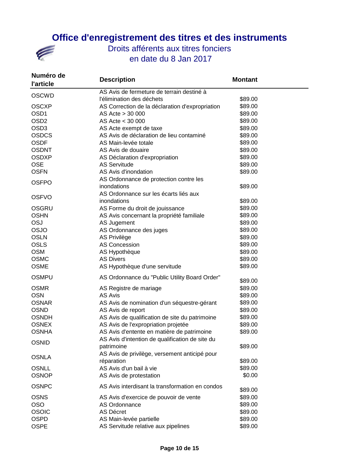

| Numéro de<br><b>l'article</b> | <b>Description</b>                              | <b>Montant</b> |  |
|-------------------------------|-------------------------------------------------|----------------|--|
| <b>OSCWD</b>                  | AS Avis de fermeture de terrain destiné à       |                |  |
|                               | l'élimination des déchets                       | \$89.00        |  |
| <b>OSCXP</b>                  | AS Correction de la déclaration d'expropriation | \$89.00        |  |
| OSD <sub>1</sub>              | AS Acte > 30 000                                | \$89.00        |  |
| OSD <sub>2</sub>              | AS Acte < 30 000                                | \$89.00        |  |
| OSD <sub>3</sub>              | AS Acte exempt de taxe                          | \$89.00        |  |
| <b>OSDCS</b>                  | AS Avis de déclaration de lieu contaminé        | \$89.00        |  |
| <b>OSDF</b>                   | AS Main-levée totale                            | \$89.00        |  |
| <b>OSDNT</b>                  | AS Avis de douaire                              | \$89.00        |  |
| <b>OSDXP</b>                  | AS Déclaration d'expropriation                  | \$89.00        |  |
| <b>OSE</b>                    | <b>AS Servitude</b>                             | \$89.00        |  |
| <b>OSFN</b>                   | AS Avis d'inondation                            | \$89.00        |  |
| <b>OSFPO</b>                  | AS Ordonnance de protection contre les          |                |  |
|                               | inondations                                     | \$89.00        |  |
| <b>OSFVO</b>                  | AS Ordonnance sur les écarts liés aux           |                |  |
|                               | inondations                                     | \$89.00        |  |
| <b>OSGRU</b>                  | AS Forme du droit de jouissance                 | \$89.00        |  |
| <b>OSHN</b>                   | AS Avis concernant la propriété familiale       | \$89.00        |  |
| <b>OSJ</b>                    | AS Jugement                                     | \$89.00        |  |
| OSJO                          | AS Ordonnance des juges                         | \$89.00        |  |
| <b>OSLN</b>                   | AS Privilège                                    | \$89.00        |  |
| <b>OSLS</b>                   | <b>AS Concession</b>                            | \$89.00        |  |
| <b>OSM</b>                    | AS Hypothèque                                   | \$89.00        |  |
| <b>OSMC</b>                   | <b>AS Divers</b>                                | \$89.00        |  |
| <b>OSME</b>                   | AS Hypothèque d'une servitude                   | \$89.00        |  |
| <b>OSMPU</b>                  | AS Ordonnance du "Public Utility Board Order"   | \$89.00        |  |
| <b>OSMR</b>                   | AS Registre de mariage                          | \$89.00        |  |
| <b>OSN</b>                    | <b>AS Avis</b>                                  | \$89.00        |  |
| <b>OSNAR</b>                  | AS Avis de nomination d'un séquestre-gérant     | \$89.00        |  |
| <b>OSND</b>                   | AS Avis de report                               | \$89.00        |  |
| <b>OSNDH</b>                  | AS Avis de qualification de site du patrimoine  | \$89.00        |  |
| <b>OSNEX</b>                  | AS Avis de l'expropriation projetée             | \$89.00        |  |
| <b>OSNHA</b>                  | AS Avis d'entente en matière de patrimoine      | \$89.00        |  |
|                               | AS Avis d'intention de qualification de site du |                |  |
| <b>OSNID</b>                  | patrimoine                                      | \$89.00        |  |
|                               | AS Avis de privilège, versement anticipé pour   |                |  |
| <b>OSNLA</b>                  | réparation                                      | \$89.00        |  |
| <b>OSNLL</b>                  | AS Avis d'un bail à vie                         | \$89.00        |  |
| <b>OSNOP</b>                  | AS Avis de protestation                         | \$0.00         |  |
| <b>OSNPC</b>                  | AS Avis interdisant la transformation en condos | \$89.00        |  |
| <b>OSNS</b>                   | AS Avis d'exercice de pouvoir de vente          | \$89.00        |  |
| <b>OSO</b>                    | AS Ordonnance                                   | \$89.00        |  |
| <b>OSOIC</b>                  | AS Décret                                       | \$89.00        |  |
| <b>OSPD</b>                   | AS Main-levée partielle                         | \$89.00        |  |
| <b>OSPE</b>                   | AS Servitude relative aux pipelines             | \$89.00        |  |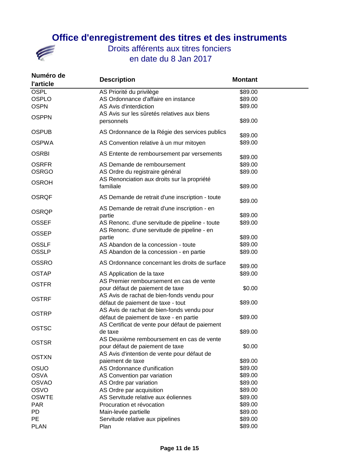

| Numéro de<br><b>l'article</b> | <b>Description</b>                                                                            | <b>Montant</b>     |
|-------------------------------|-----------------------------------------------------------------------------------------------|--------------------|
| <b>OSPL</b>                   | AS Priorité du privilège                                                                      | \$89.00            |
| <b>OSPLO</b>                  | AS Ordonnance d'affaire en instance                                                           | \$89.00            |
| <b>OSPN</b>                   | AS Avis d'interdiction                                                                        | \$89.00            |
| <b>OSPPN</b>                  | AS Avis sur les sûretés relatives aux biens<br>personnels                                     | \$89.00            |
| <b>OSPUB</b>                  | AS Ordonnance de la Régie des services publics                                                | \$89.00            |
| <b>OSPWA</b>                  | AS Convention relative à un mur mitoyen                                                       | \$89.00            |
| <b>OSRBI</b>                  | AS Entente de remboursement par versements                                                    | \$89.00            |
| <b>OSRFR</b>                  | AS Demande de remboursement                                                                   | \$89.00            |
| <b>OSRGO</b>                  | AS Ordre du registraire général                                                               | \$89.00            |
| <b>OSROH</b>                  | AS Renonciation aux droits sur la propriété<br>familiale                                      | \$89.00            |
|                               |                                                                                               |                    |
| <b>OSRQF</b>                  | AS Demande de retrait d'une inscription - toute                                               | \$89.00            |
| <b>OSRQP</b>                  | AS Demande de retrait d'une inscription - en                                                  |                    |
|                               | partie                                                                                        | \$89.00            |
| <b>OSSEF</b><br><b>OSSEP</b>  | AS Renonc. d'une servitude de pipeline - toute<br>AS Renonc. d'une servitude de pipeline - en | \$89.00            |
|                               | partie                                                                                        | \$89.00            |
| <b>OSSLF</b>                  | AS Abandon de la concession - toute                                                           | \$89.00            |
| <b>OSSLP</b>                  | AS Abandon de la concession - en partie                                                       | \$89.00            |
| <b>OSSRO</b>                  | AS Ordonnance concernant les droits de surface                                                | \$89.00            |
| <b>OSTAP</b>                  | AS Application de la taxe                                                                     | \$89.00            |
| <b>OSTFR</b>                  | AS Premier remboursement en cas de vente                                                      |                    |
|                               | pour défaut de paiement de taxe                                                               | \$0.00             |
| OSTRF                         | AS Avis de rachat de bien-fonds vendu pour                                                    |                    |
|                               | défaut de paiement de taxe - tout                                                             | \$89.00            |
| OSTRP                         | AS Avis de rachat de bien-fonds vendu pour                                                    |                    |
|                               | défaut de paiement de taxe - en partie                                                        | \$89.00            |
| <b>OSTSC</b>                  | AS Certificat de vente pour défaut de paiement                                                |                    |
|                               | de taxe                                                                                       | \$89.00            |
| <b>OSTSR</b>                  | AS Deuxième remboursement en cas de vente                                                     |                    |
|                               | pour défaut de paiement de taxe                                                               | \$0.00             |
| <b>OSTXN</b>                  | AS Avis d'intention de vente pour défaut de                                                   |                    |
|                               | paiement de taxe                                                                              | \$89.00            |
| OSUO<br><b>OSVA</b>           | AS Ordonnance d'unification                                                                   | \$89.00<br>\$89.00 |
| <b>OSVAO</b>                  | AS Convention par variation                                                                   | \$89.00            |
| <b>OSVO</b>                   | AS Ordre par variation<br>AS Ordre par acquisition                                            | \$89.00            |
| <b>OSWTE</b>                  | AS Servitude relative aux éoliennes                                                           | \$89.00            |
| <b>PAR</b>                    | Procuration et révocation                                                                     | \$89.00            |
| PD                            | Main-levée partielle                                                                          | \$89.00            |
| <b>PE</b>                     | Servitude relative aux pipelines                                                              | \$89.00            |
| <b>PLAN</b>                   | Plan                                                                                          | \$89.00            |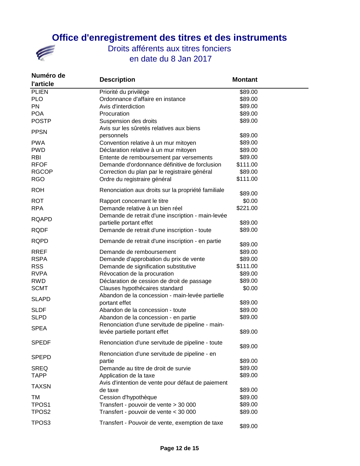## **Office d'enregistrement des titres et des instruments**



| Numéro de<br><b>l'article</b> | <b>Description</b>                                                                | <b>Montant</b>     |
|-------------------------------|-----------------------------------------------------------------------------------|--------------------|
| <b>PLIEN</b><br><b>PLO</b>    | Priorité du privilège<br>Ordonnance d'affaire en instance                         | \$89.00<br>\$89.00 |
| PN                            | Avis d'interdiction                                                               | \$89.00            |
| <b>POA</b>                    | Procuration                                                                       | \$89.00            |
| <b>POSTP</b>                  | Suspension des droits<br>Avis sur les sûretés relatives aux biens                 | \$89.00            |
| <b>PPSN</b>                   | personnels                                                                        | \$89.00            |
| <b>PWA</b>                    | Convention relative à un mur mitoyen                                              | \$89.00            |
| <b>PWD</b>                    | Déclaration relative à un mur mitoyen                                             | \$89.00            |
| <b>RBI</b>                    | Entente de remboursement par versements                                           | \$89.00            |
| <b>RFOF</b>                   | Demande d'ordonnance définitive de forclusion                                     | \$111.00           |
| <b>RGCOP</b>                  | Correction du plan par le registraire général                                     | \$89.00            |
| <b>RGO</b>                    | Ordre du registraire général                                                      | \$111.00           |
| <b>ROH</b>                    | Renonciation aux droits sur la propriété familiale                                | \$89.00            |
| <b>ROT</b>                    | Rapport concernant le titre                                                       | \$0.00             |
| <b>RPA</b>                    | Demande relative à un bien réel                                                   | \$221.00           |
|                               | Demande de retrait d'une inscription - main-levée                                 |                    |
| <b>RQAPD</b>                  | partielle portant effet                                                           | \$89.00            |
| <b>RQDF</b>                   | Demande de retrait d'une inscription - toute                                      | \$89.00            |
| <b>RQPD</b>                   | Demande de retrait d'une inscription - en partie                                  | \$89.00            |
| <b>RREF</b>                   | Demande de remboursement                                                          | \$89.00            |
| <b>RSPA</b>                   | Demande d'approbation du prix de vente                                            | \$89.00            |
| <b>RSS</b>                    | Demande de signification substitutive                                             | \$111.00           |
| <b>RVPA</b>                   | Révocation de la procuration                                                      | \$89.00            |
| <b>RWD</b>                    | Déclaration de cession de droit de passage                                        | \$89.00            |
| <b>SCMT</b>                   | Clauses hypothécaires standard<br>Abandon de la concession - main-levée partielle | \$0.00             |
| <b>SLAPD</b>                  | portant effet                                                                     | \$89.00            |
| <b>SLDF</b>                   | Abandon de la concession - toute                                                  | \$89.00            |
| <b>SLPD</b>                   | Abandon de la concession - en partie                                              | \$89.00            |
| <b>SPEA</b>                   | Renonciation d'une servitude de pipeline - main-                                  |                    |
|                               | levée partielle portant effet                                                     | \$89.00            |
| <b>SPEDF</b>                  | Renonciation d'une servitude de pipeline - toute                                  | \$89.00            |
| <b>SPEPD</b>                  | Renonciation d'une servitude de pipeline - en                                     |                    |
|                               | partie                                                                            | \$89.00            |
| <b>SREQ</b><br><b>TAPP</b>    | Demande au titre de droit de survie<br>Application de la taxe                     | \$89.00<br>\$89.00 |
|                               | Avis d'intention de vente pour défaut de paiement                                 |                    |
| <b>TAXSN</b>                  | de taxe                                                                           | \$89.00            |
| TM                            | Cession d'hypothèque                                                              | \$89.00            |
| TPOS1                         | Transfert - pouvoir de vente > 30 000                                             | \$89.00            |
| TPOS <sub>2</sub>             | Transfert - pouvoir de vente < 30 000                                             | \$89.00            |
| TPOS <sub>3</sub>             | Transfert - Pouvoir de vente, exemption de taxe                                   | \$89.00            |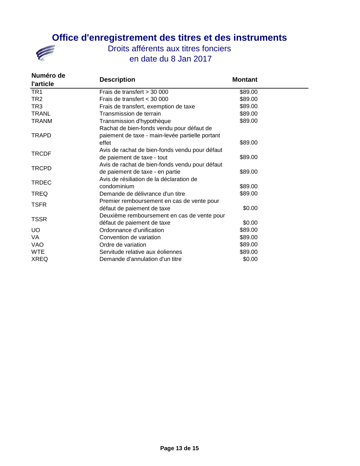

| Numéro de<br><b>l'article</b> | <b>Description</b>                              | <b>Montant</b> |  |
|-------------------------------|-------------------------------------------------|----------------|--|
| TR <sub>1</sub>               | Frais de transfert > 30 000                     | \$89.00        |  |
| TR2                           | Frais de transfert < 30 000                     | \$89.00        |  |
| TR <sub>3</sub>               | Frais de transfert, exemption de taxe           | \$89.00        |  |
| <b>TRANL</b>                  | Transmission de terrain                         | \$89.00        |  |
| <b>TRANM</b>                  | Transmission d'hypothèque                       | \$89.00        |  |
|                               | Rachat de bien-fonds vendu pour défaut de       |                |  |
| <b>TRAPD</b>                  | paiement de taxe - main-levée partielle portant |                |  |
|                               | effet                                           | \$89.00        |  |
| <b>TRCDF</b>                  | Avis de rachat de bien-fonds vendu pour défaut  |                |  |
|                               | de paiement de taxe - tout                      | \$89.00        |  |
| <b>TRCPD</b>                  | Avis de rachat de bien-fonds vendu pour défaut  |                |  |
|                               | de paiement de taxe - en partie                 | \$89.00        |  |
|                               | Avis de résiliation de la déclaration de        |                |  |
| <b>TRDEC</b>                  | condominium                                     | \$89.00        |  |
| <b>TREQ</b>                   | Demande de délivrance d'un titre                | \$89.00        |  |
|                               | Premier remboursement en cas de vente pour      |                |  |
| <b>TSFR</b>                   | défaut de paiement de taxe                      | \$0.00         |  |
| <b>TSSR</b>                   | Deuxième remboursement en cas de vente pour     |                |  |
|                               | défaut de paiement de taxe                      | \$0.00         |  |
| <b>UO</b>                     | Ordonnance d'unification                        | \$89.00        |  |
| VA                            | Convention de variation                         | \$89.00        |  |
| VAO                           | Ordre de variation                              | \$89.00        |  |
| <b>WTE</b>                    | Servitude relative aux éoliennes                | \$89.00        |  |
| <b>XREQ</b>                   | Demande d'annulation d'un titre                 | \$0.00         |  |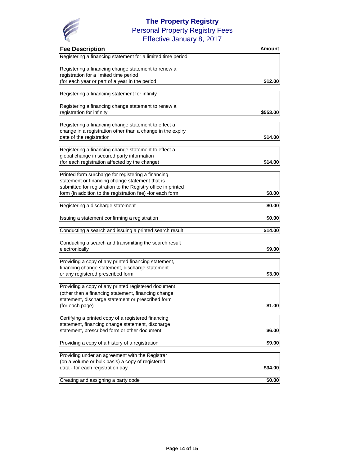

### **The Property Registry** Effective January 8, 2017 Personal Property Registry Fees

| <b>Fee Description</b>                                       | Amount   |
|--------------------------------------------------------------|----------|
| Registering a financing statement for a limited time period  |          |
| Registering a financing change statement to renew a          |          |
| registration for a limited time period                       |          |
| (for each year or part of a year in the period               | \$12.00  |
| Registering a financing statement for infinity               |          |
| Registering a financing change statement to renew a          |          |
| registration for infinity                                    | \$553.00 |
| Registering a financing change statement to effect a         |          |
| change in a registration other than a change in the expiry   |          |
| date of the registration                                     | \$14.00  |
| Registering a financing change statement to effect a         |          |
| global change in secured party information                   |          |
| (for each registration affected by the change)               | \$14.00  |
| Printed form surcharge for registering a financing           |          |
| statement or financing change statement that is              |          |
| submitted for registration to the Registry office in printed |          |
| form (in addition to the registration fee) -for each form    | \$8.00   |
| Registering a discharge statement                            | \$0.00   |
| Issuing a statement confirming a registration                | \$0.00   |
| Conducting a search and issuing a printed search result      | \$14.00  |
|                                                              |          |
| Conducting a search and transmitting the search result       |          |
| electronically                                               | \$9.00   |
| Providing a copy of any printed financing statement,         |          |
| financing change statement, discharge statement              |          |
| or any registered prescribed form                            | \$3.00   |
| Providing a copy of any printed registered document          |          |
| (other than a financing statement, financing change          |          |
| statement, discharge statement or prescribed form            |          |
| (for each page)                                              | \$1.00   |
| Certifying a printed copy of a registered financing          |          |
| statement, financing change statement, discharge             |          |
| statement, prescribed form or other document                 | \$6.00   |
| Providing a copy of a history of a registration              | \$9.00   |
| Providing under an agreement with the Registrar              |          |
| (on a volume or bulk basis) a copy of registered             |          |
| data - for each registration day                             | \$34.00  |
| Creating and assigning a party code                          | \$0.00   |
|                                                              |          |